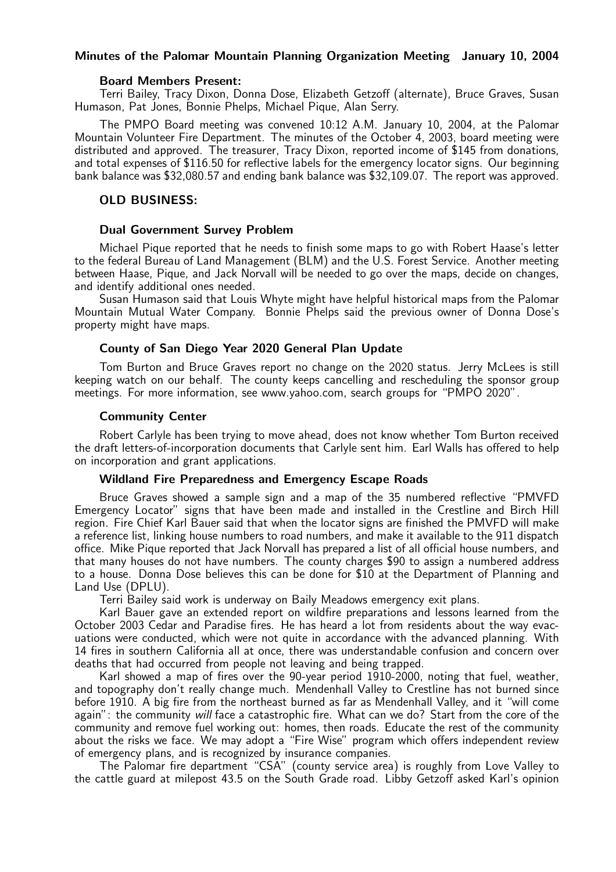### Minutes of the Palomar Mountain Planning Organization Meeting January 10, 2004

#### Board Members Present:

Terri Bailey, Tracy Dixon, Donna Dose, Elizabeth Getzoff (alternate), Bruce Graves, Susan Humason, Pat Jones, Bonnie Phelps, Michael Pique, Alan Serry.

The PMPO Board meeting was convened 10:12 A.M. January 10, 2004, at the Palomar Mountain Volunteer Fire Department. The minutes of the October 4, 2003, board meeting were distributed and approved. The treasurer, Tracy Dixon, reported income of \$145 from donations, and total expenses of \$116.50 for reflective labels for the emergency locator signs. Our beginning bank balance was \$32,080.57 and ending bank balance was \$32,109.07. The report was approved.

# OLD BUSINESS:

### Dual Government Survey Problem

Michael Pique reported that he needs to finish some maps to go with Robert Haase's letter to the federal Bureau of Land Management (BLM) and the U.S. Forest Service. Another meeting between Haase, Pique, and Jack Norvall will be needed to go over the maps, decide on changes, and identify additional ones needed.

Susan Humason said that Louis Whyte might have helpful historical maps from the Palomar Mountain Mutual Water Company. Bonnie Phelps said the previous owner of Donna Dose's property might have maps.

### County of San Diego Year 2020 General Plan Update

Tom Burton and Bruce Graves report no change on the 2020 status. Jerry McLees is still keeping watch on our behalf. The county keeps cancelling and rescheduling the sponsor group meetings. For more information, see www.yahoo.com, search groups for "PMPO 2020".

### Community Center

Robert Carlyle has been trying to move ahead, does not know whether Tom Burton received the draft letters-of-incorporation documents that Carlyle sent him. Earl Walls has offered to help on incorporation and grant applications.

## Wildland Fire Preparedness and Emergency Escape Roads

Bruce Graves showed a sample sign and a map of the 35 numbered reflective "PMVFD Emergency Locator" signs that have been made and installed in the Crestline and Birch Hill region. Fire Chief Karl Bauer said that when the locator signs are finished the PMVFD will make a reference list, linking house numbers to road numbers, and make it available to the 911 dispatch office. Mike Pique reported that Jack Norvall has prepared a list of all official house numbers, and that many houses do not have numbers. The county charges \$90 to assign a numbered address to a house. Donna Dose believes this can be done for \$10 at the Department of Planning and Land Use (DPLU).

Terri Bailey said work is underway on Baily Meadows emergency exit plans.

Karl Bauer gave an extended report on wildfire preparations and lessons learned from the October 2003 Cedar and Paradise fires. He has heard a lot from residents about the way evacuations were conducted, which were not quite in accordance with the advanced planning. With 14 fires in southern California all at once, there was understandable confusion and concern over deaths that had occurred from people not leaving and being trapped.

Karl showed a map of fires over the 90-year period 1910-2000, noting that fuel, weather, and topography don't really change much. Mendenhall Valley to Crestline has not burned since before 1910. A big fire from the northeast burned as far as Mendenhall Valley, and it "will come again": the community will face a catastrophic fire. What can we do? Start from the core of the community and remove fuel working out: homes, then roads. Educate the rest of the community about the risks we face. We may adopt a "Fire Wise" program which offers independent review of emergency plans, and is recognized by insurance companies.

The Palomar fire department "CSA" (county service area) is roughly from Love Valley to the cattle guard at milepost 43.5 on the South Grade road. Libby Getzoff asked Karl's opinion